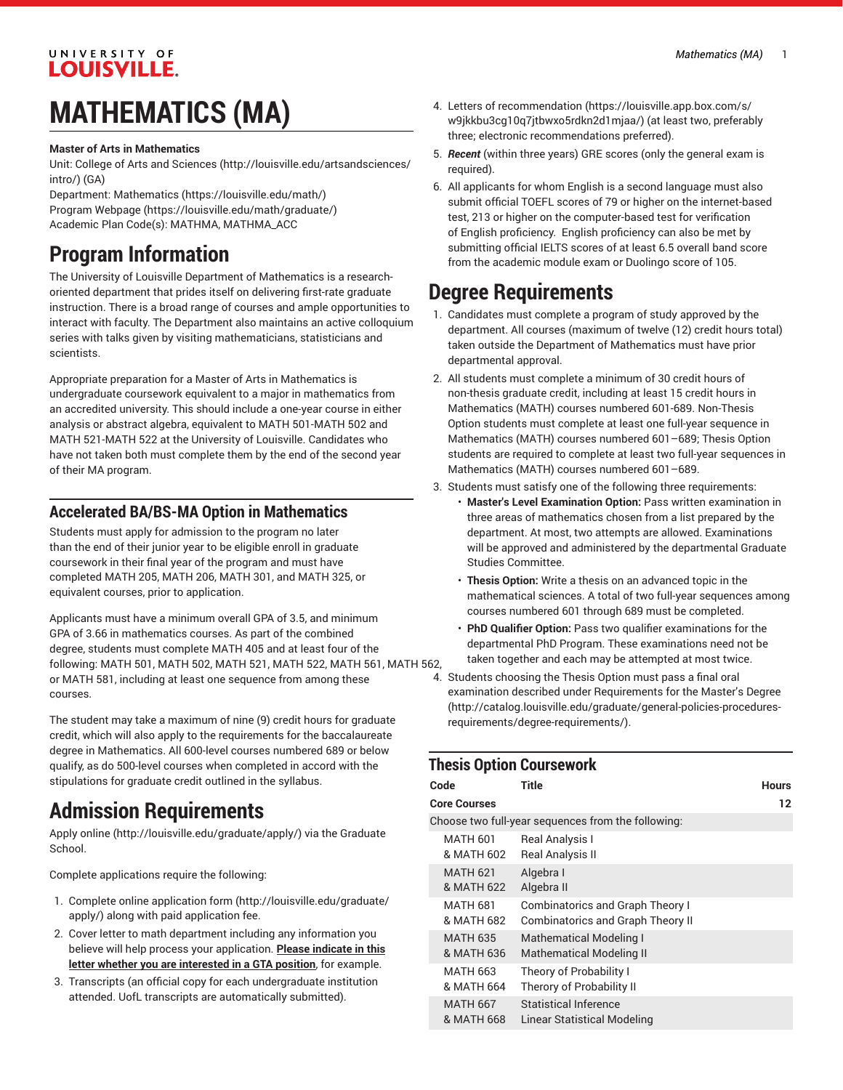## UNIVERSITY OF **LOUISVILLE.**

# **MATHEMATICS (MA)**

#### **Master of Arts in Mathematics**

Unit: College of Arts and [Sciences \(http://louisville.edu/artsandsciences/](http://louisville.edu/artsandsciences/intro/) [intro/\)](http://louisville.edu/artsandsciences/intro/) (GA)

Department: [Mathematics](https://louisville.edu/math/) (<https://louisville.edu/math/>) Program [Webpage](https://louisville.edu/math/graduate/) [\(https://louisville.edu/math/graduate/](https://louisville.edu/math/graduate/)) Academic Plan Code(s): MATHMA, MATHMA\_ACC

# **Program Information**

The University of Louisville Department of Mathematics is a researchoriented department that prides itself on delivering first-rate graduate instruction. There is a broad range of courses and ample opportunities to interact with faculty. The Department also maintains an active colloquium series with talks given by visiting mathematicians, statisticians and scientists.

Appropriate preparation for a Master of Arts in Mathematics is undergraduate coursework equivalent to a major in mathematics from an accredited university. This should include a one-year course in either analysis or abstract algebra, equivalent to MATH 501-MATH 502 and MATH 521-MATH 522 at the University of Louisville. Candidates who have not taken both must complete them by the end of the second year of their MA program.

### **Accelerated BA/BS-MA Option in Mathematics**

Students must apply for admission to the program no later than the end of their junior year to be eligible enroll in graduate coursework in their final year of the program and must have completed MATH 205, MATH 206, MATH 301, and MATH 325, or equivalent courses, prior to application.

Applicants must have a minimum overall GPA of 3.5, and minimum GPA of 3.66 in mathematics courses. As part of the combined degree, students must complete MATH 405 and at least four of the following: MATH 501, MATH 502, MATH 521, MATH 522, MATH 561, MATH 562, or MATH 581, including at least one sequence from among these courses.

The student may take a maximum of nine (9) credit hours for graduate credit, which will also apply to the requirements for the baccalaureate degree in Mathematics. All 600-level courses numbered 689 or below qualify, as do 500-level courses when completed in accord with the stipulations for graduate credit outlined in the syllabus.

# **Admission Requirements**

[Apply online](http://louisville.edu/graduate/apply/) ([http://louisville.edu/graduate/apply/\)](http://louisville.edu/graduate/apply/) via the Graduate School.

Complete applications require the following:

- 1. Complete online [application form](http://louisville.edu/graduate/apply/) ([http://louisville.edu/graduate/](http://louisville.edu/graduate/apply/) [apply/\)](http://louisville.edu/graduate/apply/) along with paid application fee.
- 2. Cover letter to math department including any information you believe will help process your application. **Please indicate in this letter whether you are interested in a GTA position**, for example.
- 3. Transcripts (an official copy for each undergraduate institution attended. UofL transcripts are automatically submitted).
- 4. Letters of [recommendation](https://louisville.app.box.com/s/w9jkkbu3cg10q7jtbwxo5rdkn2d1mjaa/) ([https://louisville.app.box.com/s/](https://louisville.app.box.com/s/w9jkkbu3cg10q7jtbwxo5rdkn2d1mjaa/) [w9jkkbu3cg10q7jtbwxo5rdkn2d1mjaa/](https://louisville.app.box.com/s/w9jkkbu3cg10q7jtbwxo5rdkn2d1mjaa/)) (at least two, preferably three; electronic recommendations preferred).
- 5. *Recent* (within three years) GRE scores (only the general exam is required).
- 6. All applicants for whom English is a second language must also submit official TOEFL scores of 79 or higher on the internet-based test, 213 or higher on the computer-based test for verification of English proficiency. English proficiency can also be met by submitting official IELTS scores of at least 6.5 overall band score from the academic module exam or Duolingo score of 105.

# **Degree Requirements**

- 1. Candidates must complete a program of study approved by the department. All courses (maximum of twelve (12) credit hours total) taken outside the Department of Mathematics must have prior departmental approval.
- 2. All students must complete a minimum of 30 credit hours of non-thesis graduate credit, including at least 15 credit hours in Mathematics (MATH) courses numbered 601-689. Non-Thesis Option students must complete at least one full-year sequence in Mathematics (MATH) courses numbered 601–689; Thesis Option students are required to complete at least two full-year sequences in Mathematics (MATH) courses numbered 601–689.
- 3. Students must satisfy one of the following three requirements:
	- **Master's Level Examination Option:** Pass written examination in three areas of mathematics chosen from a list prepared by the department. At most, two attempts are allowed. Examinations will be approved and administered by the departmental Graduate Studies Committee.
	- **Thesis Option:** Write a thesis on an advanced topic in the mathematical sciences. A total of two full-year sequences among courses numbered 601 through 689 must be completed.
	- **PhD Qualifier Option:** Pass two qualifier examinations for the departmental PhD Program. These examinations need not be taken together and each may be attempted at most twice.
- 4. Students choosing the Thesis Option must pass a final oral examination described under [Requirements](http://catalog.louisville.edu/graduate/general-policies-procedures-requirements/degree-requirements/) for the Master's Degree [\(http://catalog.louisville.edu/graduate/general-policies-procedures](http://catalog.louisville.edu/graduate/general-policies-procedures-requirements/degree-requirements/)[requirements/degree-requirements/\)](http://catalog.louisville.edu/graduate/general-policies-procedures-requirements/degree-requirements/).

#### **Thesis Option Coursework**

| Code                                               | Title                                                                               | <b>Hours</b> |  |  |  |
|----------------------------------------------------|-------------------------------------------------------------------------------------|--------------|--|--|--|
| <b>Core Courses</b>                                |                                                                                     | 12           |  |  |  |
| Choose two full-year sequences from the following: |                                                                                     |              |  |  |  |
| <b>MATH 601</b><br>& MATH 602                      | Real Analysis I<br><b>Real Analysis II</b>                                          |              |  |  |  |
| <b>MATH 621</b><br>& MATH 622                      | Algebra I<br>Algebra II                                                             |              |  |  |  |
| <b>MATH 681</b><br>& MATH 682                      | <b>Combinatorics and Graph Theory I</b><br><b>Combinatorics and Graph Theory II</b> |              |  |  |  |
| <b>MATH 635</b><br>& MATH 636                      | <b>Mathematical Modeling I</b><br><b>Mathematical Modeling II</b>                   |              |  |  |  |
| <b>MATH 663</b><br>& MATH 664                      | Theory of Probability I<br>Therory of Probability II                                |              |  |  |  |
| <b>MATH 667</b><br>& MATH 668                      | <b>Statistical Inference</b><br>Linear Statistical Modeling                         |              |  |  |  |